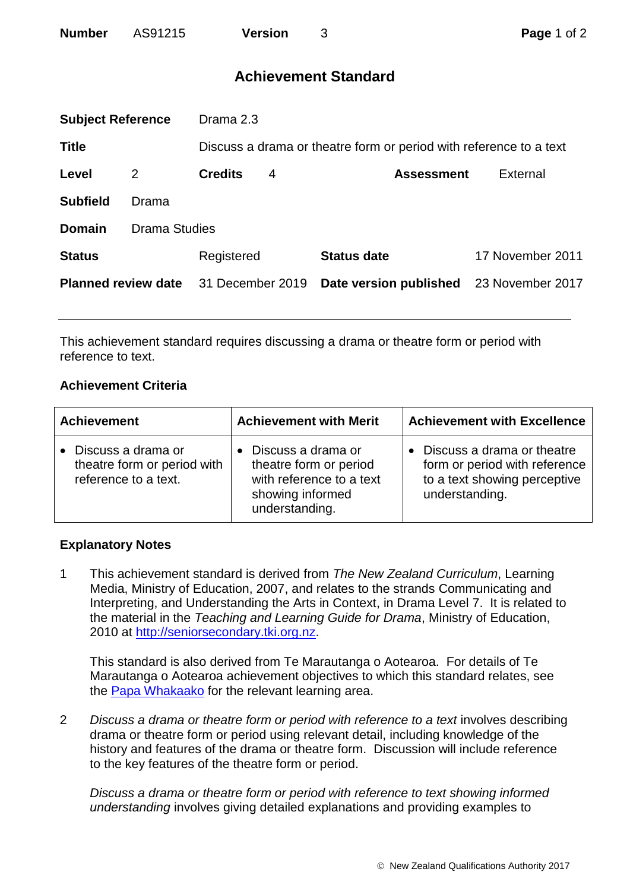# **Achievement Standard**

| <b>Subject Reference</b>   |                      | Drama 2.3        |   |                                                                    |                  |  |
|----------------------------|----------------------|------------------|---|--------------------------------------------------------------------|------------------|--|
| <b>Title</b>               |                      |                  |   | Discuss a drama or theatre form or period with reference to a text |                  |  |
| Level                      | 2                    | <b>Credits</b>   | 4 | <b>Assessment</b>                                                  | External         |  |
| <b>Subfield</b>            | Drama                |                  |   |                                                                    |                  |  |
| <b>Domain</b>              | <b>Drama Studies</b> |                  |   |                                                                    |                  |  |
| <b>Status</b>              |                      | Registered       |   | <b>Status date</b>                                                 | 17 November 2011 |  |
| <b>Planned review date</b> |                      | 31 December 2019 |   | Date version published                                             | 23 November 2017 |  |
|                            |                      |                  |   |                                                                    |                  |  |

This achievement standard requires discussing a drama or theatre form or period with reference to text.

## **Achievement Criteria**

| <b>Achievement</b>                                                          | <b>Achievement with Merit</b>                                                                                  | <b>Achievement with Excellence</b>                                                                                         |
|-----------------------------------------------------------------------------|----------------------------------------------------------------------------------------------------------------|----------------------------------------------------------------------------------------------------------------------------|
| • Discuss a drama or<br>theatre form or period with<br>reference to a text. | Discuss a drama or<br>theatre form or period<br>with reference to a text<br>showing informed<br>understanding. | Discuss a drama or theatre<br>$\bullet$<br>form or period with reference<br>to a text showing perceptive<br>understanding. |

## **Explanatory Notes**

1 This achievement standard is derived from *The New Zealand Curriculum*, Learning Media, Ministry of Education, 2007, and relates to the strands Communicating and Interpreting, and Understanding the Arts in Context, in Drama Level 7. It is related to the material in the *Teaching and Learning Guide for Drama*, Ministry of Education, 2010 at [http://seniorsecondary.tki.org.nz.](http://seniorsecondary.tki.org.nz/)

This standard is also derived from Te Marautanga o Aotearoa. For details of Te Marautanga o Aotearoa achievement objectives to which this standard relates, see the [Papa Whakaako](http://tmoa.tki.org.nz/Te-Marautanga-o-Aotearoa/Taumata-Matauranga-a-Motu-Ka-Taea) for the relevant learning area.

2 *Discuss a drama or theatre form or period with reference to a text* involves describing drama or theatre form or period using relevant detail, including knowledge of the history and features of the drama or theatre form. Discussion will include reference to the key features of the theatre form or period.

*Discuss a drama or theatre form or period with reference to text showing informed understanding* involves giving detailed explanations and providing examples to